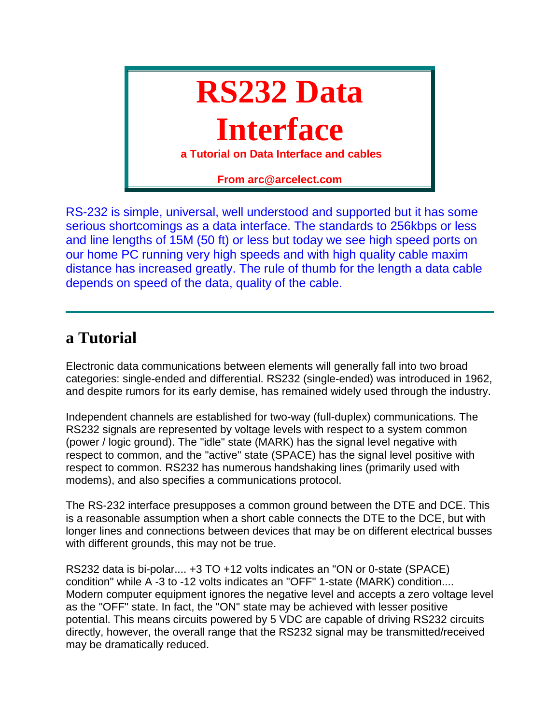# **RS232 Data**

# **Interface**

**a Tutorial on Data Interface and cables**

**From arc@arcelect.com**

RS-232 is simple, universal, well understood and supported but it has some serious shortcomings as a data interface. The standards to 256kbps or less and line lengths of 15M (50 ft) or less but today we see high speed ports on our home PC running very high speeds and with high quality cable maxim distance has increased greatly. The rule of thumb for the length a data cable depends on speed of the data, quality of the cable.

### **a Tutorial**

Electronic data communications between elements will generally fall into two broad categories: single-ended and differential. RS232 (single-ended) was introduced in 1962, and despite rumors for its early demise, has remained widely used through the industry.

Independent channels are established for two-way (full-duplex) communications. The RS232 signals are represented by voltage levels with respect to a system common (power / logic ground). The "idle" state (MARK) has the signal level negative with respect to common, and the "active" state (SPACE) has the signal level positive with respect to common. RS232 has numerous handshaking lines (primarily used with modems), and also specifies a communications protocol.

The RS-232 interface presupposes a common ground between the DTE and DCE. This is a reasonable assumption when a short cable connects the DTE to the DCE, but with longer lines and connections between devices that may be on different electrical busses with different grounds, this may not be true.

RS232 data is bi-polar.... +3 TO +12 volts indicates an "ON or 0-state (SPACE) condition" while A -3 to -12 volts indicates an "OFF" 1-state (MARK) condition.... Modern computer equipment ignores the negative level and accepts a zero voltage level as the "OFF" state. In fact, the "ON" state may be achieved with lesser positive potential. This means circuits powered by 5 VDC are capable of driving RS232 circuits directly, however, the overall range that the RS232 signal may be transmitted/received may be dramatically reduced.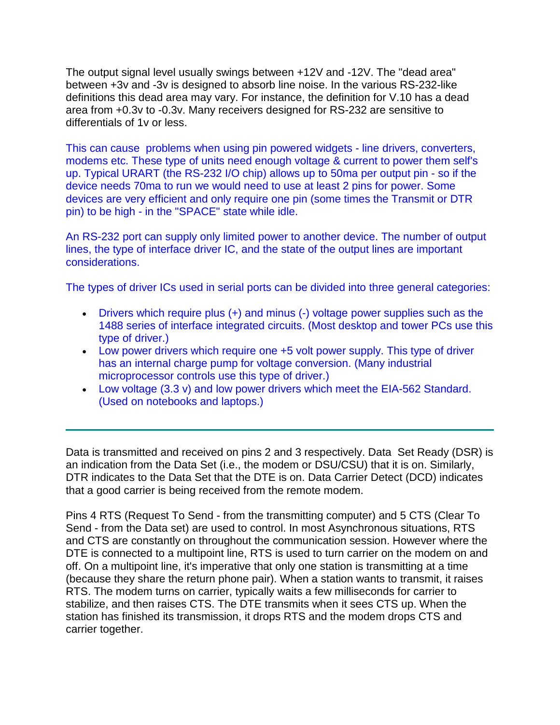The output signal level usually swings between +12V and -12V. The "dead area" between +3v and -3v is designed to absorb line noise. In the various RS-232-like definitions this dead area may vary. For instance, the definition for V.10 has a dead area from +0.3v to -0.3v. Many receivers designed for RS-232 are sensitive to differentials of 1v or less.

This can cause problems when using pin powered widgets - line drivers, converters, modems etc. These type of units need enough voltage & current to power them self's up. Typical URART (the RS-232 I/O chip) allows up to 50ma per output pin - so if the device needs 70ma to run we would need to use at least 2 pins for power. Some devices are very efficient and only require one pin (some times the Transmit or DTR pin) to be high - in the "SPACE" state while idle.

An RS-232 port can supply only limited power to another device. The number of output lines, the type of interface driver IC, and the state of the output lines are important considerations.

The types of driver ICs used in serial ports can be divided into three general categories:

- Drivers which require plus (+) and minus (-) voltage power supplies such as the 1488 series of interface integrated circuits. (Most desktop and tower PCs use this type of driver.)
- Low power drivers which require one +5 volt power supply. This type of driver has an internal charge pump for voltage conversion. (Many industrial microprocessor controls use this type of driver.)
- Low voltage (3.3 v) and low power drivers which meet the EIA-562 Standard. (Used on notebooks and laptops.)

Data is transmitted and received on pins 2 and 3 respectively. Data Set Ready (DSR) is an indication from the Data Set (i.e., the modem or DSU/CSU) that it is on. Similarly, DTR indicates to the Data Set that the DTE is on. Data Carrier Detect (DCD) indicates that a good carrier is being received from the remote modem.

Pins 4 RTS (Request To Send - from the transmitting computer) and 5 CTS (Clear To Send - from the Data set) are used to control. In most Asynchronous situations, RTS and CTS are constantly on throughout the communication session. However where the DTE is connected to a multipoint line, RTS is used to turn carrier on the modem on and off. On a multipoint line, it's imperative that only one station is transmitting at a time (because they share the return phone pair). When a station wants to transmit, it raises RTS. The modem turns on carrier, typically waits a few milliseconds for carrier to stabilize, and then raises CTS. The DTE transmits when it sees CTS up. When the station has finished its transmission, it drops RTS and the modem drops CTS and carrier together.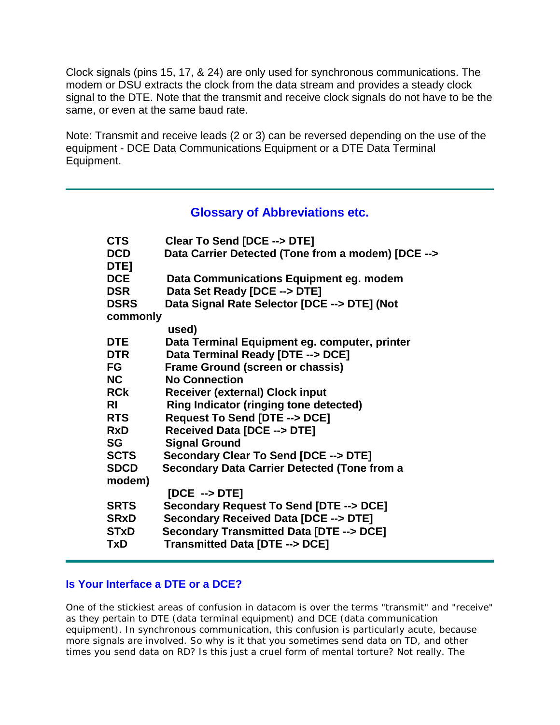Clock signals (pins 15, 17, & 24) are only used for synchronous communications. The modem or DSU extracts the clock from the data stream and provides a steady clock signal to the DTE. Note that the transmit and receive clock signals do not have to be the same, or even at the same baud rate.

Note: Transmit and receive leads (2 or 3) can be reversed depending on the use of the equipment - DCE Data Communications Equipment or a DTE Data Terminal Equipment.

#### **Glossary of Abbreviations etc.**

| <b>CTS</b>  | Clear To Send [DCE --> DTE]                         |
|-------------|-----------------------------------------------------|
| <b>DCD</b>  | Data Carrier Detected (Tone from a modem) [DCE -->  |
| DTE]        |                                                     |
| <b>DCE</b>  | Data Communications Equipment eg. modem             |
| <b>DSR</b>  | Data Set Ready [DCE --> DTE]                        |
| <b>DSRS</b> | Data Signal Rate Selector [DCE --> DTE] (Not        |
| commonly    |                                                     |
|             | used)                                               |
| <b>DTE</b>  | Data Terminal Equipment eg. computer, printer       |
| DTR         | Data Terminal Ready [DTE --> DCE]                   |
| FG          | <b>Frame Ground (screen or chassis)</b>             |
| <b>NC</b>   | <b>No Connection</b>                                |
| <b>RCk</b>  | <b>Receiver (external) Clock input</b>              |
| RI          | <b>Ring Indicator (ringing tone detected)</b>       |
| <b>RTS</b>  | Request To Send [DTE --> DCE]                       |
| <b>RxD</b>  | Received Data [DCE --> DTE]                         |
| SG          | <b>Signal Ground</b>                                |
| <b>SCTS</b> | Secondary Clear To Send [DCE --> DTE]               |
| <b>SDCD</b> | <b>Secondary Data Carrier Detected (Tone from a</b> |
| modem)      |                                                     |
|             | $[DCE \rightarrow DTE]$                             |
| <b>SRTS</b> | Secondary Request To Send [DTE --> DCE]             |
| <b>SRxD</b> | Secondary Received Data [DCE --> DTE]               |
| <b>STxD</b> | Secondary Transmitted Data [DTE --> DCE]            |
| TxD         | Transmitted Data [DTE --> DCE]                      |
|             |                                                     |

#### **Is Your Interface a DTE or a DCE?**

One of the stickiest areas of confusion in datacom is over the terms "transmit" and "receive" as they pertain to DTE (data terminal equipment) and DCE (data communication equipment). In synchronous communication, this confusion is particularly acute, because more signals are involved. So why is it that you sometimes send data on TD, and other times you send data on RD? Is this just a cruel form of mental torture? Not really. The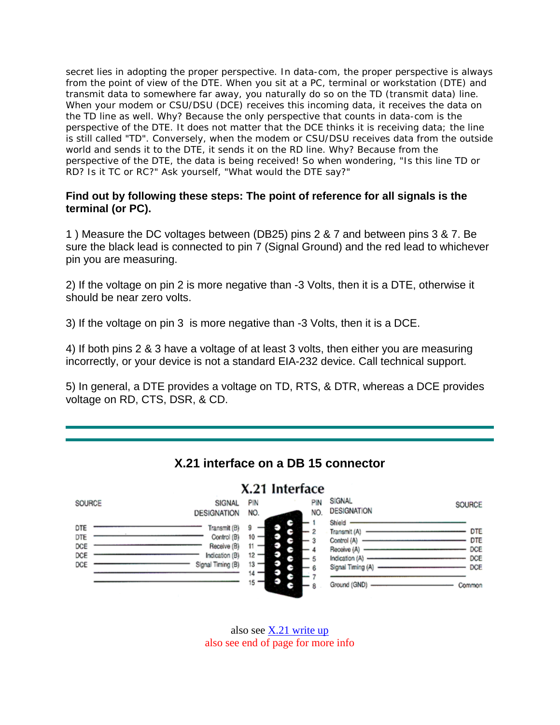secret lies in adopting the proper perspective. In data-com, the proper perspective is always from the point of view of the DTE. When you sit at a PC, terminal or workstation (DTE) and transmit data to somewhere far away, you naturally do so on the TD (transmit data) line. When your modem or CSU/DSU (DCE) receives this incoming data, it receives the data on the TD line as well. Why? Because the only perspective that counts in data-com is the perspective of the DTE. It does not matter that the DCE thinks it is receiving data; the line is still called "TD". Conversely, when the modem or CSU/DSU receives data from the outside world and sends it to the DTE, it sends it on the RD line. Why? Because from the perspective of the DTE, the data is being received! So when wondering, "Is this line TD or RD? Is it TC or RC?" Ask yourself, "What would the DTE say?"

#### **Find out by following these steps: The point of reference for all signals is the terminal (or PC).**

1 ) Measure the DC voltages between (DB25) pins 2 & 7 and between pins 3 & 7. Be sure the black lead is connected to pin 7 (Signal Ground) and the red lead to whichever pin you are measuring.

2) If the voltage on pin 2 is more negative than -3 Volts, then it is a DTE, otherwise it should be near zero volts.

3) If the voltage on pin 3 is more negative than -3 Volts, then it is a DCE.

4) If both pins 2 & 3 have a voltage of at least 3 volts, then either you are measuring incorrectly, or your device is not a standard EIA-232 device. Call technical support.

5) In general, a DTE provides a voltage on TD, RTS, & DTR, whereas a DCE provides voltage on RD, CTS, DSR, & CD.



also see [X.21 write up](http://www.arcelect.com/X21_interface.htm) also see end of page for more info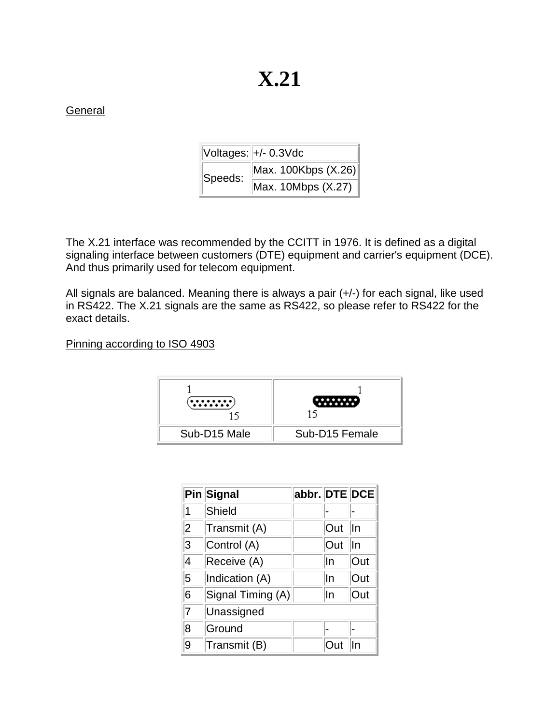### **General**

|         | Voltages: +/- 0.3Vdc |  |  |  |  |
|---------|----------------------|--|--|--|--|
| Speeds: | Max. 100Kbps (X.26)  |  |  |  |  |
|         | Max. 10Mbps (X.27)   |  |  |  |  |

The X.21 interface was recommended by the CCITT in 1976. It is defined as a digital signaling interface between customers (DTE) equipment and carrier's equipment (DCE). And thus primarily used for telecom equipment.

All signals are balanced. Meaning there is always a pair (+/-) for each signal, like used in RS422. The X.21 signals are the same as RS422, so please refer to RS422 for the exact details.

Pinning according to ISO 4903



|                | Pin Signal        | abbr. DTE DCE |       |     |
|----------------|-------------------|---------------|-------|-----|
| 1              | <b>Shield</b>     |               |       |     |
| $\overline{2}$ | Transmit (A)      |               | Out   | In  |
| 3              | Control (A)       |               | Out   | In  |
| 4              | Receive (A)       |               | In    | Out |
| 5              | Indication (A)    |               | In    | Out |
| 6              | Signal Timing (A) |               | In    | Out |
| 7              | Unassigned        |               |       |     |
| 8              | Ground            |               |       |     |
| 9              | Transmit (B)      |               | †ו ו( | In  |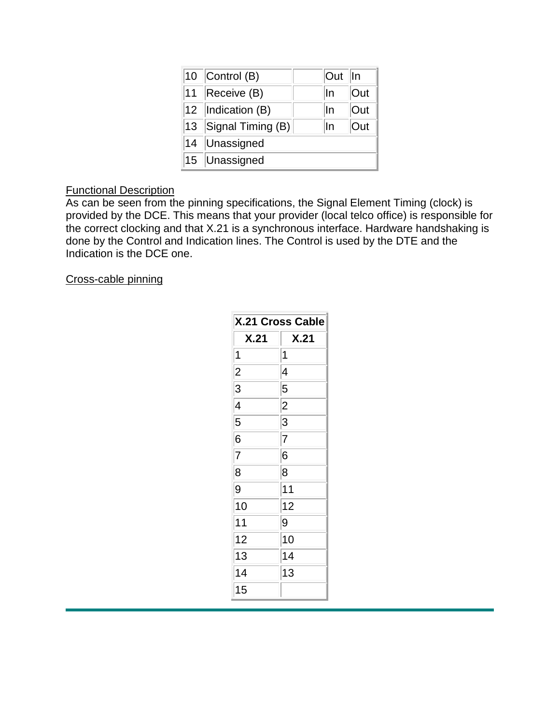|    | 10 Control (B)         | Out | lln |
|----|------------------------|-----|-----|
|    | 11 Receive (B)         | In  | Out |
|    | 12  Indication (B)     | In  | Out |
|    | 13 Signal Timing $(B)$ | In  | Out |
| 14 | Unassigned             |     |     |
|    | 15 Unassigned          |     |     |

### Functional Description

As can be seen from the pinning specifications, the Signal Element Timing (clock) is provided by the DCE. This means that your provider (local telco office) is responsible for the correct clocking and that X.21 is a synchronous interface. Hardware handshaking is done by the Control and Indication lines. The Control is used by the DTE and the Indication is the DCE one.

Cross-cable pinning

| <b>X.21 Cross Cable</b> |                |  |  |  |  |
|-------------------------|----------------|--|--|--|--|
| X.21                    | X.21           |  |  |  |  |
| 1                       | 1              |  |  |  |  |
| $\overline{c}$          | 4              |  |  |  |  |
| 3                       | 5              |  |  |  |  |
| 4                       | $\overline{2}$ |  |  |  |  |
| 5                       | 3              |  |  |  |  |
| 6                       | 7              |  |  |  |  |
| 7                       | 6              |  |  |  |  |
| 8                       | 8              |  |  |  |  |
| 9                       | 11             |  |  |  |  |
| 10                      | 12             |  |  |  |  |
| 11                      | 9              |  |  |  |  |
| 12                      | 10             |  |  |  |  |
| 13                      | 14             |  |  |  |  |
| 14                      | 13             |  |  |  |  |
| 15                      |                |  |  |  |  |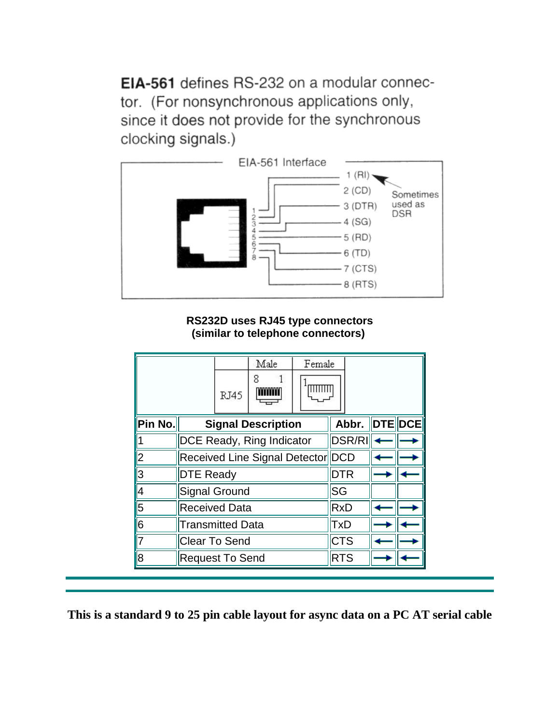EIA-561 defines RS-232 on a modular connector. (For nonsynchronous applications only, since it does not provide for the synchronous clocking signals.)



**RS232D uses RJ45 type connectors (similar to telephone connectors)**

|            |                                  |             | Male                      | Female |                   |  |
|------------|----------------------------------|-------------|---------------------------|--------|-------------------|--|
|            |                                  | <b>RJ45</b> | 8                         |        |                   |  |
| Pin No.    |                                  |             | <b>Signal Description</b> |        | Abbr.   DTE   DCE |  |
|            | <b>DCE Ready, Ring Indicator</b> |             | <b>DSR/RI</b>             |        |                   |  |
| 2          | Received Line Signal Detector    |             | <b>DCD</b>                |        |                   |  |
| $\sqrt{3}$ | <b>DTE Ready</b>                 |             | <b>DTR</b>                |        |                   |  |
| $\sqrt{4}$ | <b>Signal Ground</b>             |             | <b>SG</b>                 |        |                   |  |
| 5          | <b>Received Data</b>             |             |                           |        | RxD               |  |
| ∥6         | <b>Transmitted Data</b>          |             |                           |        | <b>TxD</b>        |  |
|            | Clear To Send                    |             | <b>CTS</b>                |        |                   |  |
| 8          | <b>Request To Send</b>           |             |                           |        | <b>RTS</b>        |  |

**This is a standard 9 to 25 pin cable layout for async data on a PC AT serial cable**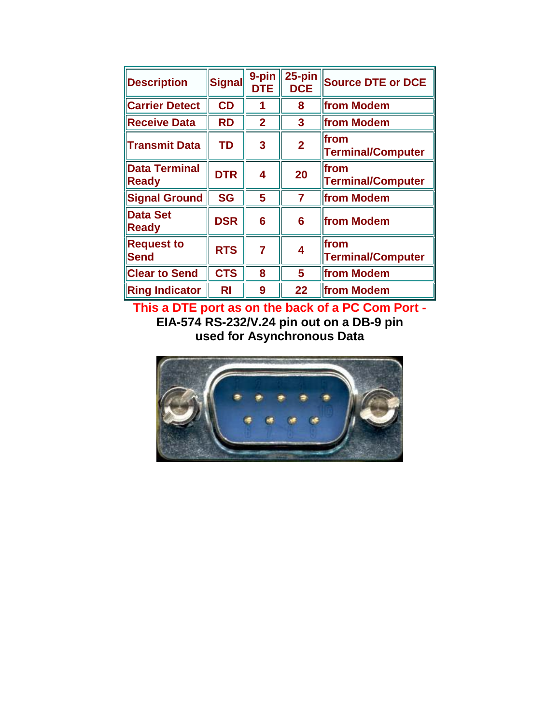| <b>Description</b>                   | <b>Signal</b> | 9-pin<br><b>DTE</b> | $25$ -pin<br><b>DCE</b> | <b>Source DTE or DCE</b>         |
|--------------------------------------|---------------|---------------------|-------------------------|----------------------------------|
| <b>Carrier Detect</b>                | CD            | 1                   | 8                       | from Modem                       |
| <b>Receive Data</b>                  | <b>RD</b>     | $\overline{2}$      | 3                       | from Modem                       |
| <b>Transmit Data</b>                 | TD            | 3                   | $\overline{2}$          | from<br><b>Terminal/Computer</b> |
| <b>Data Terminal</b><br><b>Ready</b> | <b>DTR</b>    | 4                   | 20                      | from<br><b>Terminal/Computer</b> |
| <b>Signal Ground</b>                 | <b>SG</b>     | 5                   | $\overline{7}$          | from Modem                       |
| <b>Data Set</b><br><b>Ready</b>      | <b>DSR</b>    | 6                   | 6                       | from Modem                       |
| <b>Request to</b><br><b>Send</b>     | <b>RTS</b>    | $\overline{7}$      | $\overline{\mathbf{4}}$ | from<br><b>Terminal/Computer</b> |
| <b>Clear to Send</b>                 | <b>CTS</b>    | 8                   | 5                       | from Modem                       |
| <b>Ring Indicator</b>                | RI            | 9                   | 22                      | from Modem                       |

**This a DTE port as on the back of a PC Com Port - EIA-574 RS-232/V.24 pin out on a DB-9 pin used for Asynchronous Data**

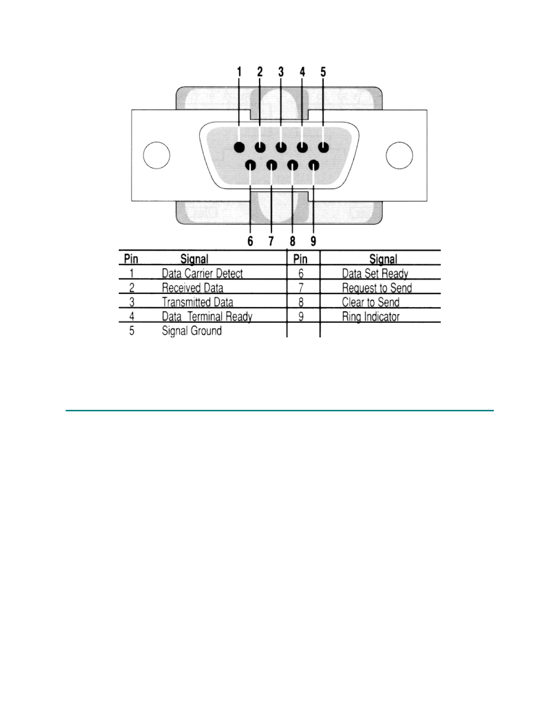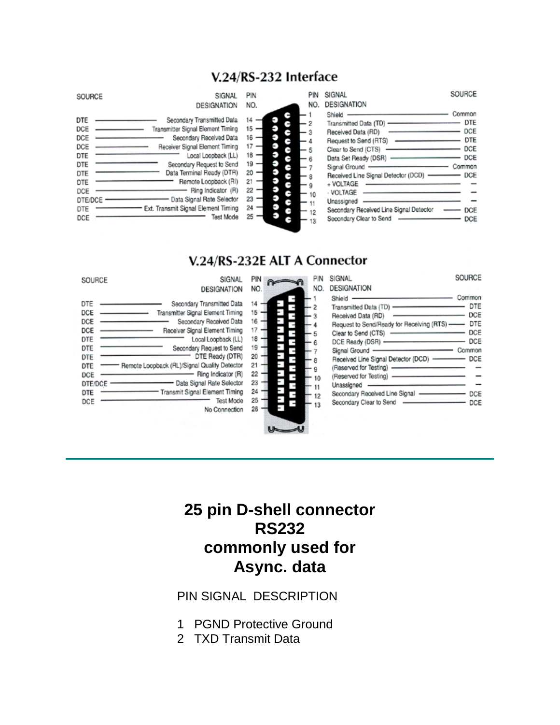### V.24/RS-232 Interface

| SOURCE                                                                               | SIGNAL<br><b>DESIGNATION</b>                                                                                                                                                                                                                                                                                                                        | PIN<br>NO.                                                           | PIN<br>NO. | SIGNAL<br>DESIGNATION                                                                                                                                                                                                                                                        | SOURCE                                                                                     |
|--------------------------------------------------------------------------------------|-----------------------------------------------------------------------------------------------------------------------------------------------------------------------------------------------------------------------------------------------------------------------------------------------------------------------------------------------------|----------------------------------------------------------------------|------------|------------------------------------------------------------------------------------------------------------------------------------------------------------------------------------------------------------------------------------------------------------------------------|--------------------------------------------------------------------------------------------|
| DTE<br>DCE<br>DCE<br>DCE<br>DTE<br>DTE<br>DTE<br>DTE<br>DCE<br>DTE/DCE<br>DTE<br>DCE | Secondary Transmitted Data<br>Transmitter Signal Element Timing<br>Secondary Received Data<br>Receiver Signal Element Timing<br>Local Loopback (LL)<br>Secondary Request to Send<br>Data Terminal Ready (DTR)<br>Remote Loopback (RI)<br>Ring Indicator (R)<br>Data Signal Rate Selector<br>Ext. Transmit Signal Element Timing<br><b>Test Mode</b> | 14<br>15<br>16<br>17<br>18<br>19<br>20<br>21<br>22<br>23<br>24<br>25 |            | Shield<br>Transmitted Data (TD) -<br>Received Data (RD)<br>Clear to Send (CTS)<br>Data Set Ready (DSR)<br>Signal Ground<br>Received Line Signal Detector (DCD)<br>+ VOLTAGE<br>- VOLTAGE<br>Unassigned<br>Secondary Received Line Signal Detector<br>Secondary Clear to Send | Common<br><b>DTE</b><br>DCE<br><b>DTE</b><br>DCE<br>DCE<br>Common<br>$-$ DCE<br>DCE<br>DCE |

### V.24/RS-232E ALT A Connector

| SIGNAL<br>SOURCE                                                                                                                                                                                                                                                                                                                                                                                                                                                      | PIN<br>PIN                                                                       | SOURCE<br>SIGNAL                                                                                                                                                                                                                                                                                                                                                                      |
|-----------------------------------------------------------------------------------------------------------------------------------------------------------------------------------------------------------------------------------------------------------------------------------------------------------------------------------------------------------------------------------------------------------------------------------------------------------------------|----------------------------------------------------------------------------------|---------------------------------------------------------------------------------------------------------------------------------------------------------------------------------------------------------------------------------------------------------------------------------------------------------------------------------------------------------------------------------------|
| <b>DESIGNATION</b>                                                                                                                                                                                                                                                                                                                                                                                                                                                    | NO.<br>NO.                                                                       | <b>DESIGNATION</b>                                                                                                                                                                                                                                                                                                                                                                    |
| DTE<br>Secondary Transmitted Data<br>Transmitter Signal Element Timing<br>DCE<br>Secondary Received Data<br>DCE<br>DCE<br>Receiver Signal Element Timing<br>DTE<br>Local Loopback (LL)<br>DTE<br>Secondary Request to Send<br>DTE Ready (DTR)<br>DTE<br>Remote Loopback (RL)/Signal Quality Detector<br>DTE<br>Ring Indicator (R)<br>DCE<br>Data Signal Rate Selector<br>DTE/DCE<br>Transmit Signal Element Timing<br>DTE<br><b>Test Mode</b><br>DCE<br>No Connection | 14<br>15<br>16<br>17<br>18<br>19<br>20<br>21<br>22<br>23<br>24<br>12<br>25<br>26 | Common<br>Shield<br>DTE<br>Transmitted Data (TD) -<br>DCE<br>Received Data (RD)<br>Request to Send/Ready for Receiving (RTS) -- DTE<br>DCE<br>Clear to Send (CTS)<br>DCE<br>DCE Ready (DSR) -<br>Signal Ground -<br>Common<br>Received Line Signal Detector (DCD) -<br>DCE<br>(Reserved for Testing)<br>Unassigned -<br>Secondary Received Line Signal ----------------<br>DCE<br>DCE |

### **25 pin D-shell connector RS232 commonly used for Async. data**

PIN SIGNAL DESCRIPTION

- 1 PGND Protective Ground
- 2 TXD Transmit Data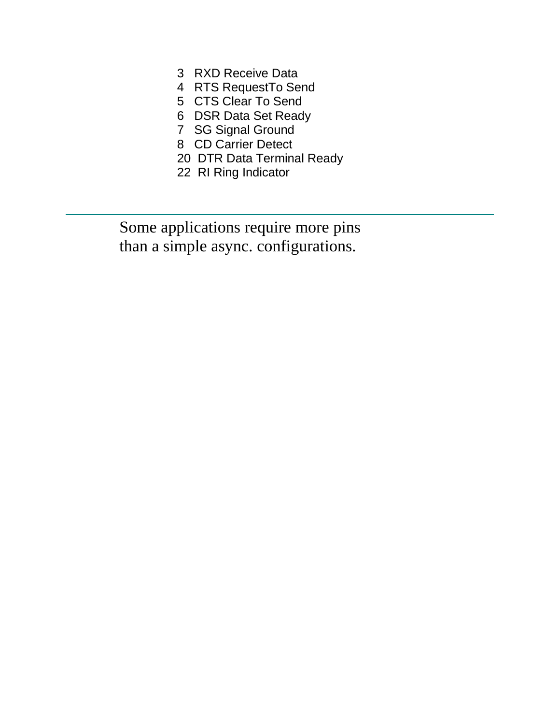- 3 RXD Receive Data
- 4 RTS RequestTo Send
- 5 CTS Clear To Send
- 6 DSR Data Set Ready
- 7 SG Signal Ground
- 8 CD Carrier Detect
- 20 DTR Data Terminal Ready
- 22 RI Ring Indicator

 Some applications require more pins than a simple async. configurations.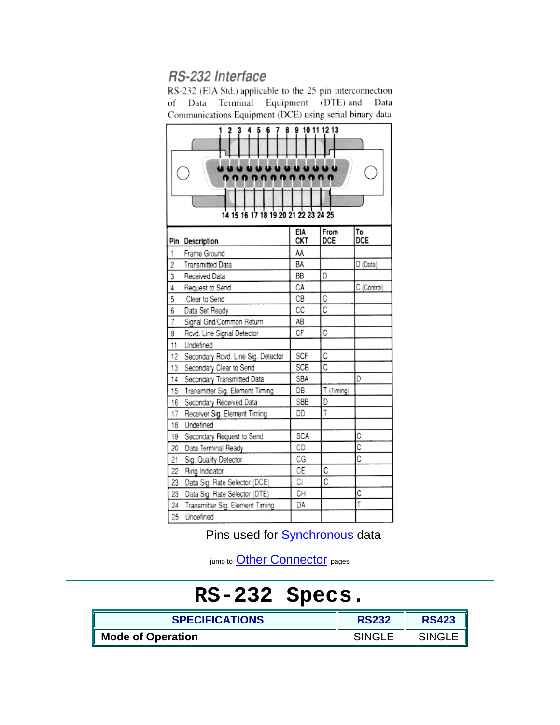### RS-232 Interface

RS-232 (EIA Std.) applicable to the 25 pin interconnection of Data Terminal Equipment (DTE) and Data Communications Equipment (DCE) using serial binary data

| 10 11 12 13<br>14 15 16 17 18 19 20 21 22 23 24 25 |                                    |            |             |                  |  |  |
|----------------------------------------------------|------------------------------------|------------|-------------|------------------|--|--|
|                                                    | Pin Description                    | EIA<br>CKT | From<br>DCE | To<br><b>DCE</b> |  |  |
| 1                                                  | Frame Ground                       | AA         |             |                  |  |  |
| $\overline{\mathbf{c}}$                            | <b>Transmitted Data</b>            | BA         |             | D (Data)         |  |  |
| 3                                                  | Received Data                      | BВ         | D           |                  |  |  |
| $\overline{4}$                                     | Request to Send                    | СA         |             | C (Control)      |  |  |
| 5                                                  | Clear to Send                      | CВ         | Ċ           |                  |  |  |
| 6                                                  | Data Set Ready                     | CC         | C           |                  |  |  |
| $\overline{7}$                                     | Signal Gnd/Common Return           | ΑB         |             |                  |  |  |
| 8                                                  | Rcvd. Line Signal Detector         | СF         | C           |                  |  |  |
| 11                                                 | Undefined                          |            |             |                  |  |  |
| 12                                                 | Secondary Rovd. Line Sig. Detector | SCF        | С           |                  |  |  |
| 13                                                 | Secondary Clear to Send            | <b>SCB</b> | C           |                  |  |  |
| 14                                                 | Secondary Transmitted Data         | SBA        |             | D                |  |  |
| 15                                                 | Transmitter Sig. Element Timing    | DB         | T (Timing)  |                  |  |  |
| 16                                                 | Secondary Received Data            | SBB        | D           |                  |  |  |
| 17                                                 | Receiver Sig. Element Timing       | DD         | T           |                  |  |  |
| 18                                                 | Undefined                          |            |             |                  |  |  |
| 19                                                 | Secondary Request to Send          | SCA        |             | C                |  |  |
| 20                                                 | Data Terminal Ready                | CD         |             | C                |  |  |
| 21                                                 | Sig. Quality Detector              | CG         |             | C                |  |  |
| 22                                                 | Ring Indicator                     | СE         | C           |                  |  |  |
| 23                                                 | Data Sig. Rate Selector (DCE)      | СI         | C           |                  |  |  |
| 23                                                 | Data Sig. Rate Selector (DTE)      | CН         |             | C                |  |  |
| 24                                                 | Transmitter Sig. Element Timing    | DA         |             | T                |  |  |
| 25                                                 | Undefined                          |            |             |                  |  |  |

Pins used for Synchronous data

jump to **[Other Connector](http://www.hardwarebook.net/connector/index.html)** pages

# **RS-232 Specs.**

| <b>SPECIFICATIONS</b>    | <b>RS232</b> | <b>RS423</b> |
|--------------------------|--------------|--------------|
| <b>Mode of Operation</b> | SINGL        |              |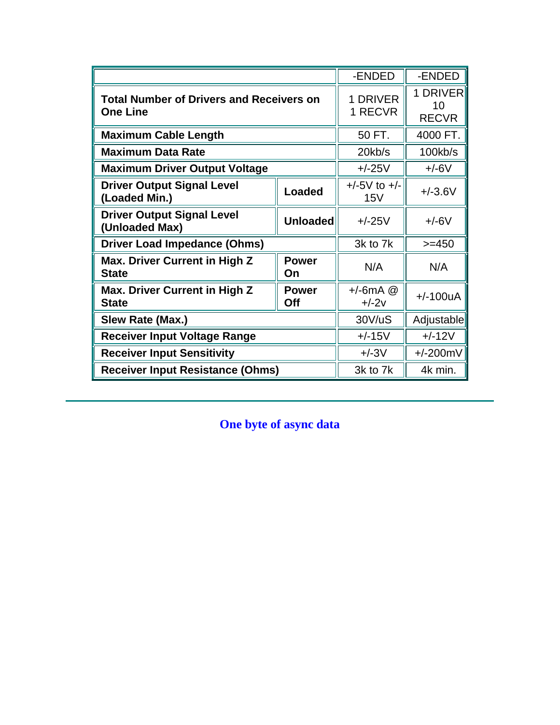|                                                                        |                     | -ENDED                  | -ENDED                         |
|------------------------------------------------------------------------|---------------------|-------------------------|--------------------------------|
| <b>Total Number of Drivers and Receivers on</b><br><b>One Line</b>     |                     | 1 DRIVER<br>1 RECVR     | 1 DRIVER<br>10<br><b>RECVR</b> |
| <b>Maximum Cable Length</b>                                            |                     | 50 FT.                  | 4000 FT.                       |
| <b>Maximum Data Rate</b>                                               |                     | $20$ kb/s               | 100kb/s                        |
| <b>Maximum Driver Output Voltage</b>                                   |                     | $+/-25V$                | $+/-6V$                        |
| <b>Driver Output Signal Level</b><br>(Loaded Min.)                     | <b>Loaded</b>       | $+/-5V$ to $+/-$<br>15V | $+/-3.6V$                      |
| <b>Driver Output Signal Level</b><br><b>Unloaded</b><br>(Unloaded Max) |                     | $+/-25V$                | $+/-6V$                        |
| <b>Driver Load Impedance (Ohms)</b>                                    |                     | 3k to 7k                | $>=150$                        |
| Max. Driver Current in High Z<br><b>State</b>                          | <b>Power</b><br>On  | N/A                     | N/A                            |
| Max. Driver Current in High Z<br><b>State</b>                          | <b>Power</b><br>Off | $+/-6mA$ @<br>$+/-2v$   | $+/-100uA$                     |
| Slew Rate (Max.)                                                       |                     | 30V/uS                  | Adjustable                     |
| <b>Receiver Input Voltage Range</b>                                    | $+/-15V$            | $+/-12V$                |                                |
| <b>Receiver Input Sensitivity</b>                                      | $+/-3V$             | $+/-200mV$              |                                |
| <b>Receiver Input Resistance (Ohms)</b>                                |                     | 3k to 7k                | 4k min.                        |

**One byte of async data**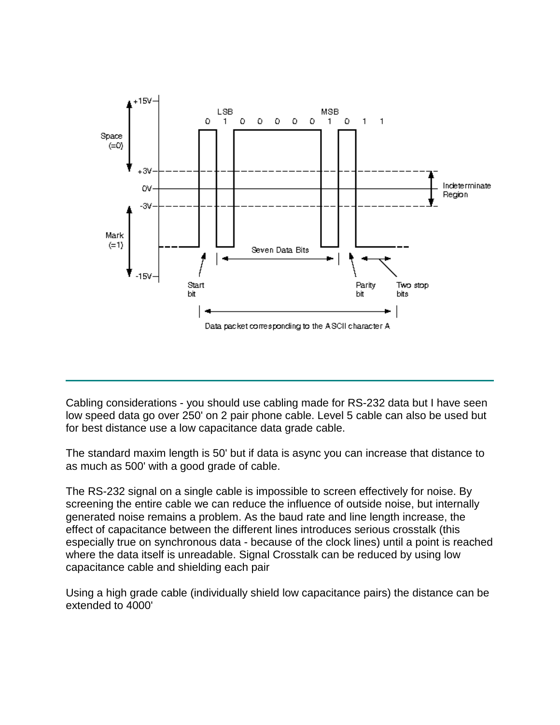

Cabling considerations - you should use cabling made for RS-232 data but I have seen low speed data go over 250' on 2 pair phone cable. Level 5 cable can also be used but for best distance use a low capacitance data grade cable.

The standard maxim length is 50' but if data is async you can increase that distance to as much as 500' with a good grade of cable.

The RS-232 signal on a single cable is impossible to screen effectively for noise. By screening the entire cable we can reduce the influence of outside noise, but internally generated noise remains a problem. As the baud rate and line length increase, the effect of capacitance between the different lines introduces serious crosstalk (this especially true on synchronous data - because of the clock lines) until a point is reached where the data itself is unreadable. Signal Crosstalk can be reduced by using low capacitance cable and shielding each pair

Using a high grade cable (individually shield low capacitance pairs) the distance can be extended to 4000'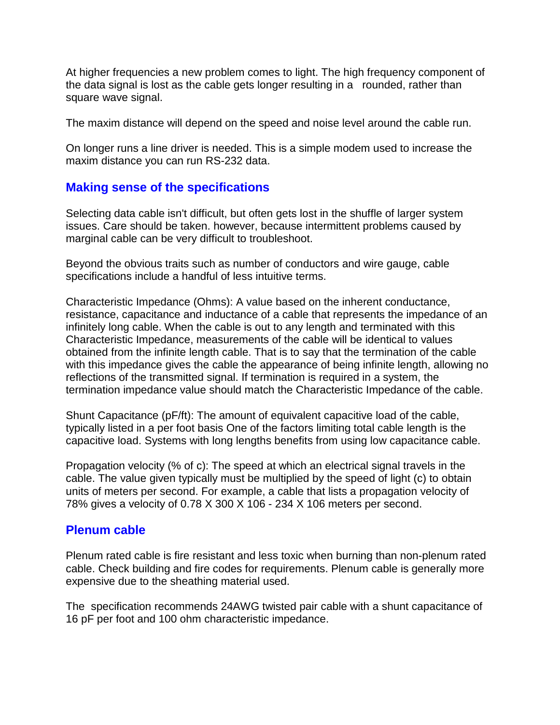At higher frequencies a new problem comes to light. The high frequency component of the data signal is lost as the cable gets longer resulting in a rounded, rather than square wave signal.

The maxim distance will depend on the speed and noise level around the cable run.

On longer runs a line driver is needed. This is a simple modem used to increase the maxim distance you can run RS-232 data.

### **Making sense of the specifications**

Selecting data cable isn't difficult, but often gets lost in the shuffle of larger system issues. Care should be taken. however, because intermittent problems caused by marginal cable can be very difficult to troubleshoot.

Beyond the obvious traits such as number of conductors and wire gauge, cable specifications include a handful of less intuitive terms.

Characteristic Impedance (Ohms): A value based on the inherent conductance, resistance, capacitance and inductance of a cable that represents the impedance of an infinitely long cable. When the cable is out to any length and terminated with this Characteristic Impedance, measurements of the cable will be identical to values obtained from the infinite length cable. That is to say that the termination of the cable with this impedance gives the cable the appearance of being infinite length, allowing no reflections of the transmitted signal. If termination is required in a system, the termination impedance value should match the Characteristic Impedance of the cable.

Shunt Capacitance (pF/ft): The amount of equivalent capacitive load of the cable, typically listed in a per foot basis One of the factors limiting total cable length is the capacitive load. Systems with long lengths benefits from using low capacitance cable.

Propagation velocity (% of c): The speed at which an electrical signal travels in the cable. The value given typically must be multiplied by the speed of light (c) to obtain units of meters per second. For example, a cable that lists a propagation velocity of 78% gives a velocity of 0.78 X 300 X 106 - 234 X 106 meters per second.

### **Plenum cable**

Plenum rated cable is fire resistant and less toxic when burning than non-plenum rated cable. Check building and fire codes for requirements. Plenum cable is generally more expensive due to the sheathing material used.

The specification recommends 24AWG twisted pair cable with a shunt capacitance of 16 pF per foot and 100 ohm characteristic impedance.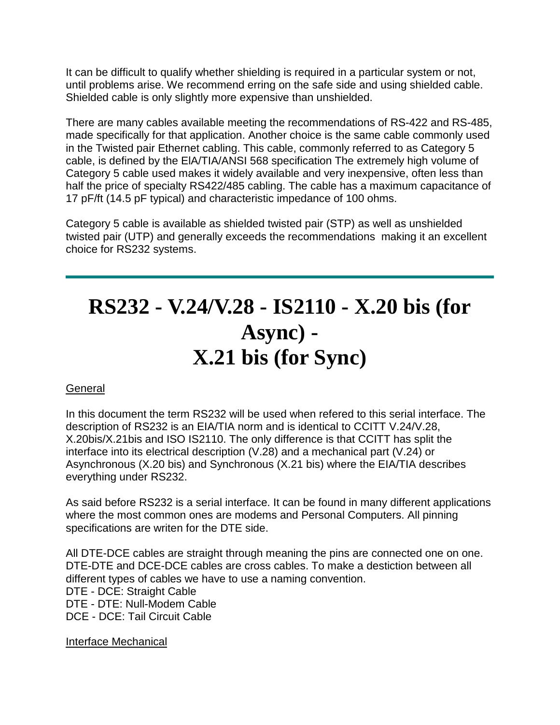It can be difficult to qualify whether shielding is required in a particular system or not, until problems arise. We recommend erring on the safe side and using shielded cable. Shielded cable is only slightly more expensive than unshielded.

There are many cables available meeting the recommendations of RS-422 and RS-485, made specifically for that application. Another choice is the same cable commonly used in the Twisted pair Ethernet cabling. This cable, commonly referred to as Category 5 cable, is defined by the ElA/TIA/ANSI 568 specification The extremely high volume of Category 5 cable used makes it widely available and very inexpensive, often less than half the price of specialty RS422/485 cabling. The cable has a maximum capacitance of 17 pF/ft (14.5 pF typical) and characteristic impedance of 100 ohms.

Category 5 cable is available as shielded twisted pair (STP) as well as unshielded twisted pair (UTP) and generally exceeds the recommendations making it an excellent choice for RS232 systems.

# **RS232 - V.24/V.28 - IS2110 - X.20 bis (for Async) - X.21 bis (for Sync)**

### **General**

In this document the term RS232 will be used when refered to this serial interface. The description of RS232 is an EIA/TIA norm and is identical to CCITT V.24/V.28, X.20bis/X.21bis and ISO IS2110. The only difference is that CCITT has split the interface into its electrical description (V.28) and a mechanical part (V.24) or Asynchronous (X.20 bis) and Synchronous (X.21 bis) where the EIA/TIA describes everything under RS232.

As said before RS232 is a serial interface. It can be found in many different applications where the most common ones are modems and Personal Computers. All pinning specifications are writen for the DTE side.

All DTE-DCE cables are straight through meaning the pins are connected one on one. DTE-DTE and DCE-DCE cables are cross cables. To make a destiction between all different types of cables we have to use a naming convention. DTE - DCE: Straight Cable DTE - DTE: Null-Modem Cable DCE - DCE: Tail Circuit Cable

Interface Mechanical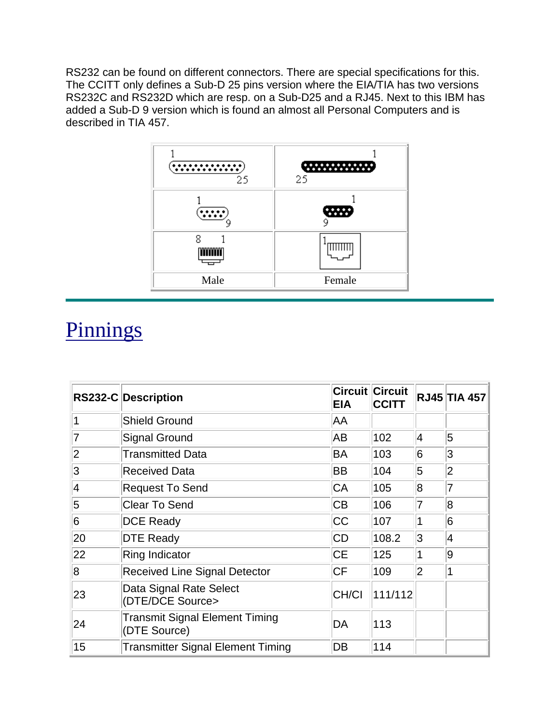RS232 can be found on different connectors. There are special specifications for this. The CCITT only defines a Sub-D 25 pins version where the EIA/TIA has two versions RS232C and RS232D which are resp. on a Sub-D25 and a RJ45. Next to this IBM has added a Sub-D 9 version which is found an almost all Personal Computers and is described in TIA 457.



## **Pinnings**

|                | RS232-C Description                            | <b>EIA</b> | <b>Circuit Circuit</b><br><b>CCITT</b> |                 | <b>RJ45 TIA 457</b> |
|----------------|------------------------------------------------|------------|----------------------------------------|-----------------|---------------------|
|                | <b>Shield Ground</b>                           | AA         |                                        |                 |                     |
|                | <b>Signal Ground</b>                           | AB         | 102                                    | $\vert 4 \vert$ | $\overline{5}$      |
| $\overline{2}$ | <b>Transmitted Data</b>                        | BA         | 103                                    | 6               | 3                   |
| 3              | <b>Received Data</b>                           | BB         | 104                                    | 5               | $ 2\rangle$         |
| 4              | <b>Request To Send</b>                         | CA         | 105                                    | 8               | 7                   |
| 5              | <b>Clear To Send</b>                           | <b>CB</b>  | 106                                    | 7               | 8                   |
| 6              | <b>DCE Ready</b>                               | <b>CC</b>  | 107                                    | 1               | 6                   |
| 20             | <b>DTE Ready</b>                               | <b>CD</b>  | 108.2                                  | 3               | 4                   |
| 22             | Ring Indicator                                 | <b>CE</b>  | 125                                    | 1               | 9                   |
| 8              | <b>Received Line Signal Detector</b>           | <b>CF</b>  | 109                                    | $ 2\rangle$     | 1                   |
| 23             | Data Signal Rate Select<br>(DTE/DCE Source>    | CH/CI      | 111/112                                |                 |                     |
| 24             | Transmit Signal Element Timing<br>(DTE Source) | DA         | 113                                    |                 |                     |
| 15             | <b>Transmitter Signal Element Timing</b>       | DB         | 114                                    |                 |                     |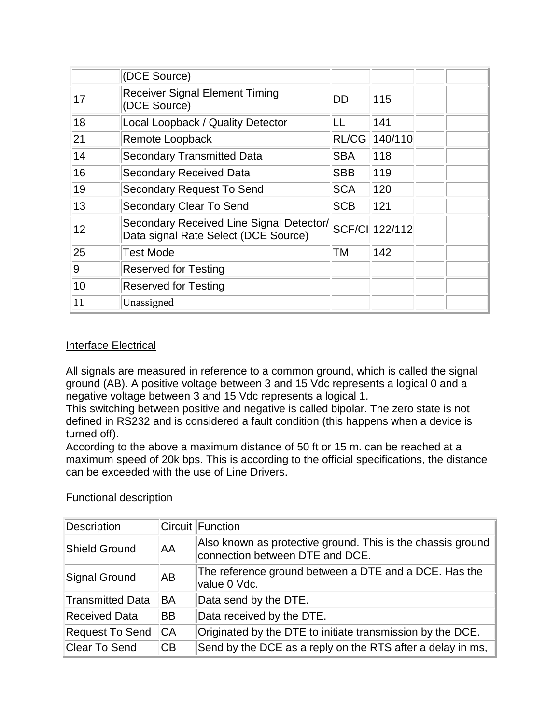|    | (DCE Source)                                                                     |            |                |  |
|----|----------------------------------------------------------------------------------|------------|----------------|--|
| 17 | <b>Receiver Signal Element Timing</b><br>(DCE Source)                            | DD         | 115            |  |
| 18 | Local Loopback / Quality Detector                                                | LL         | 141            |  |
| 21 | Remote Loopback                                                                  | RL/CG      | 140/110        |  |
| 14 | <b>Secondary Transmitted Data</b>                                                | <b>SBA</b> | 118            |  |
| 16 | <b>Secondary Received Data</b>                                                   | <b>SBB</b> | 119            |  |
| 19 | Secondary Request To Send                                                        | <b>SCA</b> | 120            |  |
| 13 | Secondary Clear To Send                                                          | <b>SCB</b> | 121            |  |
| 12 | Secondary Received Line Signal Detector/<br>Data signal Rate Select (DCE Source) |            | SCF/CI 122/112 |  |
| 25 | Test Mode                                                                        | ТM         | 142            |  |
| 9  | <b>Reserved for Testing</b>                                                      |            |                |  |
| 10 | <b>Reserved for Testing</b>                                                      |            |                |  |
| 11 | Unassigned                                                                       |            |                |  |

### Interface Electrical

All signals are measured in reference to a common ground, which is called the signal ground (AB). A positive voltage between 3 and 15 Vdc represents a logical 0 and a negative voltage between 3 and 15 Vdc represents a logical 1.

This switching between positive and negative is called bipolar. The zero state is not defined in RS232 and is considered a fault condition (this happens when a device is turned off).

According to the above a maximum distance of 50 ft or 15 m. can be reached at a maximum speed of 20k bps. This is according to the official specifications, the distance can be exceeded with the use of Line Drivers.

| Description             |           | Circuit Function                                                                               |
|-------------------------|-----------|------------------------------------------------------------------------------------------------|
| <b>Shield Ground</b>    | AA        | Also known as protective ground. This is the chassis ground<br>connection between DTE and DCE. |
| <b>Signal Ground</b>    | ΙAΒ       | The reference ground between a DTE and a DCE. Has the<br>value 0 Vdc.                          |
| <b>Transmitted Data</b> | <b>BA</b> | Data send by the DTE.                                                                          |
| <b>Received Data</b>    | ΒB        | Data received by the DTE.                                                                      |
| <b>Request To Send</b>  | <b>CA</b> | Originated by the DTE to initiate transmission by the DCE.                                     |
| Clear To Send           | CВ        | Send by the DCE as a reply on the RTS after a delay in ms,                                     |

#### Functional description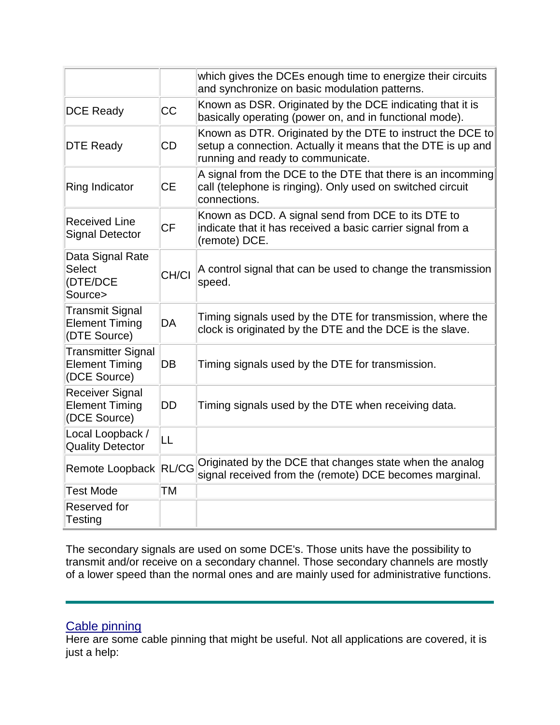|                                                                    |              | which gives the DCEs enough time to energize their circuits<br>and synchronize on basic modulation patterns.                                                    |
|--------------------------------------------------------------------|--------------|-----------------------------------------------------------------------------------------------------------------------------------------------------------------|
| <b>DCE Ready</b>                                                   | <b>CC</b>    | Known as DSR. Originated by the DCE indicating that it is<br>basically operating (power on, and in functional mode).                                            |
| <b>DTE Ready</b>                                                   | CD           | Known as DTR. Originated by the DTE to instruct the DCE to<br>setup a connection. Actually it means that the DTE is up and<br>running and ready to communicate. |
| Ring Indicator                                                     | <b>CE</b>    | A signal from the DCE to the DTE that there is an incomming<br>call (telephone is ringing). Only used on switched circuit<br>connections.                       |
| <b>Received Line</b><br><b>Signal Detector</b>                     | <b>CF</b>    | Known as DCD. A signal send from DCE to its DTE to<br>indicate that it has received a basic carrier signal from a<br>(remote) DCE.                              |
| Data Signal Rate<br><b>Select</b><br>(DTE/DCE<br>Source>           | CH/CI        | A control signal that can be used to change the transmission<br>speed.                                                                                          |
| <b>Transmit Signal</b><br><b>Element Timing</b><br>(DTE Source)    | DA           | Timing signals used by the DTE for transmission, where the<br>clock is originated by the DTE and the DCE is the slave.                                          |
| <b>Transmitter Signal</b><br><b>Element Timing</b><br>(DCE Source) | <b>DB</b>    | Timing signals used by the DTE for transmission.                                                                                                                |
| <b>Receiver Signal</b><br><b>Element Timing</b><br>(DCE Source)    | <b>DD</b>    | Timing signals used by the DTE when receiving data.                                                                                                             |
| Local Loopback /<br><b>Quality Detector</b>                        | LL           |                                                                                                                                                                 |
| Remote Loopback                                                    | <b>RL/CG</b> | Originated by the DCE that changes state when the analog<br>signal received from the (remote) DCE becomes marginal.                                             |
| <b>Test Mode</b>                                                   | ТM           |                                                                                                                                                                 |
| Reserved for<br>Testing                                            |              |                                                                                                                                                                 |

The secondary signals are used on some DCE's. Those units have the possibility to transmit and/or receive on a secondary channel. Those secondary channels are mostly of a lower speed than the normal ones and are mainly used for administrative functions.

### Cable pinning

Here are some cable pinning that might be useful. Not all applications are covered, it is just a help: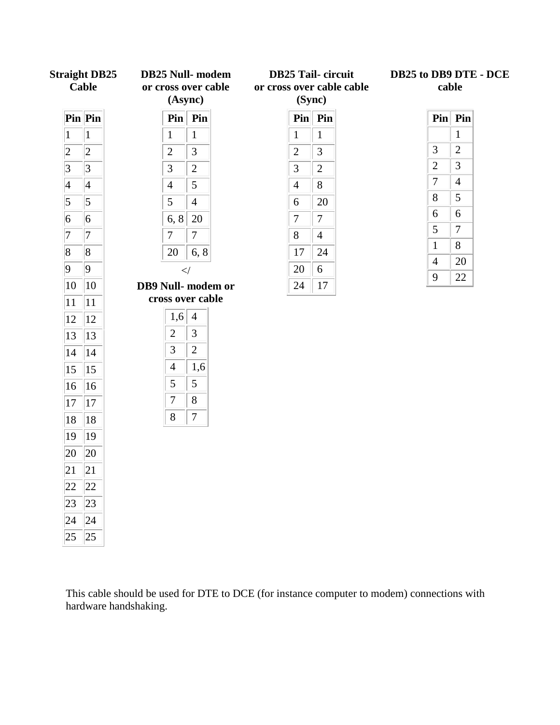|                 | <b>Straight DB25</b><br><b>Cable</b> |  | <b>DB25 Null-</b> modem<br>or cross over cable<br>(Async) |                  |                   | <b>DB25 Tail-circuit</b><br>or cross over cable cable<br>(Sync) |                  |  |  | DB25 to DB9 DTE - DCE<br>cable |                  |  |
|-----------------|--------------------------------------|--|-----------------------------------------------------------|------------------|-------------------|-----------------------------------------------------------------|------------------|--|--|--------------------------------|------------------|--|
|                 | $\overline{\mathbf{Pin}}$ Pin        |  |                                                           | $\text{Pin}$ Pin |                   |                                                                 | $\text{Pin}$ Pin |  |  |                                | $\text{Pin}$ Pin |  |
| $\mathbf{1}$    | $\mathbf{1}$                         |  | $\mathbf{1}$                                              | $\mathbf{1}$     |                   | $\mathbf{1}$                                                    | $\mathbf{1}$     |  |  |                                | $\mathbf{1}$     |  |
| $\overline{c}$  | $ 2\rangle$                          |  | $\mathbf{2}$                                              | 3                |                   | $\overline{2}$                                                  | 3                |  |  | 3                              | $\overline{2}$   |  |
| $ 3\rangle$     | $ 3\rangle$                          |  | $\mathfrak{Z}$                                            | $\overline{2}$   |                   | 3                                                               | $\overline{2}$   |  |  | $\mathbf{2}$                   | 3                |  |
| $\vert 4 \vert$ | $\vert 4$                            |  | $\overline{4}$                                            | 5                |                   | $\overline{4}$                                                  | 8                |  |  | $\boldsymbol{7}$               | $\overline{4}$   |  |
| $\vert 5 \vert$ | $\vert$ 5                            |  | 5                                                         | $\overline{4}$   |                   | 6                                                               | 20               |  |  | $8\,$                          | 5                |  |
| 6               | 6                                    |  | 6, 8                                                      | 20               |                   | $\tau$                                                          | $\overline{7}$   |  |  | 6                              | 6                |  |
| 7               | 7                                    |  | $\overline{7}$                                            | $\overline{7}$   |                   | $8\,$                                                           | $\overline{4}$   |  |  | $\mathfrak{S}$                 | $\overline{7}$   |  |
| $\vert 8$       | 8                                    |  | 20                                                        | 6, 8             |                   | 17                                                              | 24               |  |  | $\mathbf{1}$                   | 8                |  |
| 9               | $ 9\rangle$                          |  |                                                           | $\prec$ /        |                   | 20                                                              | 6                |  |  | $\overline{4}$                 | 20               |  |
| 10              | $ 10\rangle$                         |  |                                                           |                  | DB9 Null-modem or | 24                                                              | 17               |  |  | 9                              | 22               |  |
| 11              | $ 11\rangle$                         |  | cross over cable                                          |                  |                   |                                                                 |                  |  |  |                                |                  |  |
| 12              | $ 12\rangle$                         |  | 1,6                                                       | $\overline{4}$   |                   |                                                                 |                  |  |  |                                |                  |  |
| 13              | 13                                   |  | $\overline{2}$                                            | 3                |                   |                                                                 |                  |  |  |                                |                  |  |
| 14              | 14                                   |  | 3                                                         | $\overline{2}$   |                   |                                                                 |                  |  |  |                                |                  |  |
| 15              | $ 15\rangle$                         |  | $\overline{4}$                                            | 1,6              |                   |                                                                 |                  |  |  |                                |                  |  |
| 16              | 16                                   |  | 5                                                         | 5                |                   |                                                                 |                  |  |  |                                |                  |  |
| 17              | 17                                   |  | $\boldsymbol{7}$                                          | 8                |                   |                                                                 |                  |  |  |                                |                  |  |
| 18              | 18                                   |  | $8\,$                                                     | $\boldsymbol{7}$ |                   |                                                                 |                  |  |  |                                |                  |  |
| 19              | $ 19\rangle$                         |  |                                                           |                  |                   |                                                                 |                  |  |  |                                |                  |  |
| 20              | 20                                   |  |                                                           |                  |                   |                                                                 |                  |  |  |                                |                  |  |
| 21              | 21                                   |  |                                                           |                  |                   |                                                                 |                  |  |  |                                |                  |  |
| 22              | 22                                   |  |                                                           |                  |                   |                                                                 |                  |  |  |                                |                  |  |
|                 |                                      |  |                                                           |                  |                   |                                                                 |                  |  |  |                                |                  |  |
| 23              | 23                                   |  |                                                           |                  |                   |                                                                 |                  |  |  |                                |                  |  |
| 24              | 24                                   |  |                                                           |                  |                   |                                                                 |                  |  |  |                                |                  |  |
| 25              | 25                                   |  |                                                           |                  |                   |                                                                 |                  |  |  |                                |                  |  |

This cable should be used for DTE to DCE (for instance computer to modem) connections with hardware handshaking.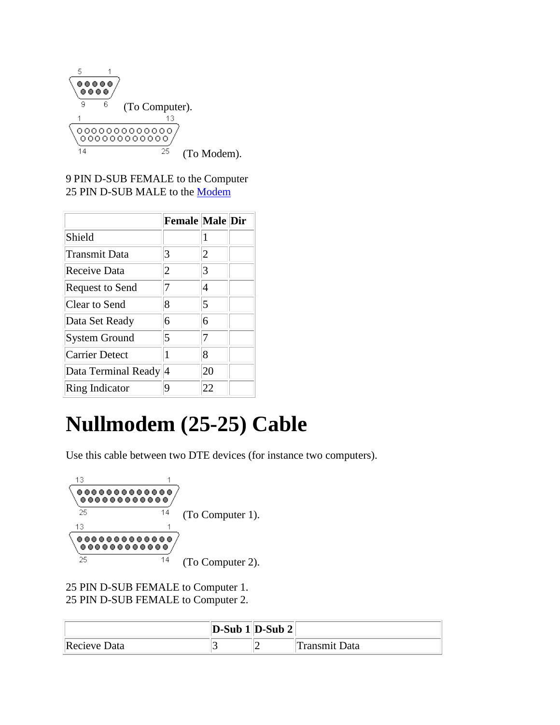

9 PIN D-SUB FEMALE to the Computer 25 PIN D-SUB MALE to the [Modem](http://www.data-wiz.com/Modems_a_Tutorial.htm)

|                        | Female Male Dir |    |  |
|------------------------|-----------------|----|--|
| Shield                 |                 | 1  |  |
| <b>Transmit Data</b>   | 3               | 2  |  |
| Receive Data           | 2               | 3  |  |
| <b>Request to Send</b> | 7               | 4  |  |
| Clear to Send          | 8               | 5  |  |
| Data Set Ready         | 6               | 6  |  |
| <b>System Ground</b>   | 5               | 7  |  |
| <b>Carrier Detect</b>  | 1               | 8  |  |
| Data Terminal Ready 4  |                 | 20 |  |
| Ring Indicator         | q               | 22 |  |

# **Nullmodem (25-25) Cable**

Use this cable between two DTE devices (for instance two computers).



25 PIN D-SUB FEMALE to Computer 1. 25 PIN D-SUB FEMALE to Computer 2.

|              | $ D-Sub 1 D-Sub 2 $ |               |
|--------------|---------------------|---------------|
| Recieve Data |                     | Transmit Data |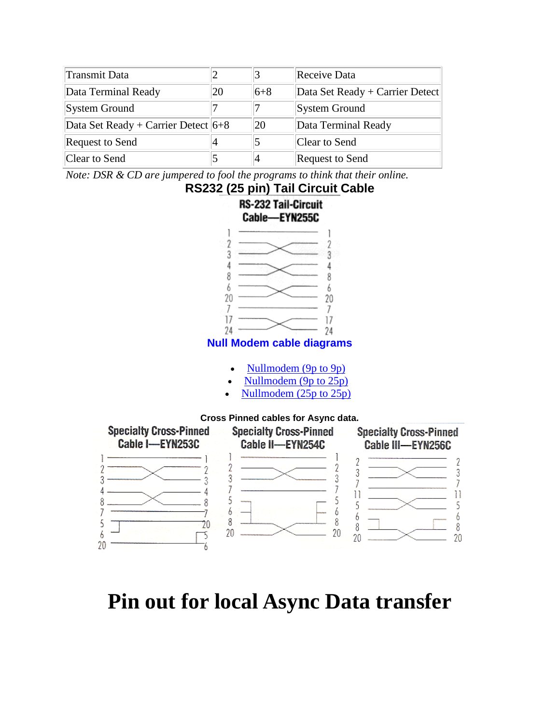| Transmit Data                           |    |         | Receive Data                    |
|-----------------------------------------|----|---------|---------------------------------|
| Data Terminal Ready                     | 20 | $6 + 8$ | Data Set Ready + Carrier Detect |
| <b>System Ground</b>                    |    |         | System Ground                   |
| Data Set Ready + Carrier Detect $ 6+8 $ |    | 20      | Data Terminal Ready             |
| <b>Request to Send</b>                  |    |         | Clear to Send                   |
| Clear to Send                           |    |         | Request to Send                 |

*Note: DSR & CD are jumpered to fool the programs to think that their online.*



## **Pin out for local Async Data transfer**

-6

20